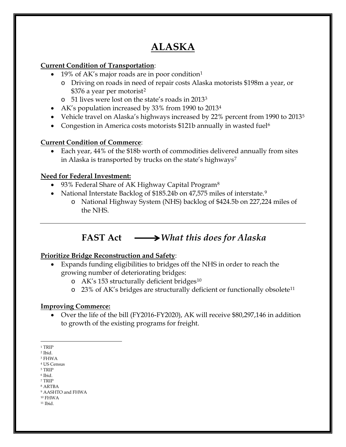# **ALASKA**

# **Current Condition of Transportation**:

- [1](#page-0-0)9% of AK's major roads are in poor condition<sup>1</sup>
	- o Driving on roads in need of repair costs Alaska motorists \$198m a year, or \$376 a year per motorist<sup>[2](#page-0-1)</sup>
	- o 51 lives were lost on the state's roads in 2013[3](#page-0-2)
- AK's population increased by 33% from 1990 to 2013[4](#page-0-3)
- Vehicle travel on Alaska's highways increased by 22% percent from 1990 to 2013<sup>[5](#page-0-4)</sup>
- Congestion in America costs motorists \$121b annually in wasted fuel<sup>[6](#page-0-5)</sup>

## **Current Condition of Commerce**:

• Each year, 44% of the \$18b worth of commodities delivered annually from sites in Alaska is transported by trucks on the state's highways<sup>[7](#page-0-6)</sup>

## **Need for Federal Investment:**

- 93% Federal Share of AK Highway Capital Program<sup>[8](#page-0-7)</sup>
- National Interstate Backlog of \$185.24b on 47,575 miles of interstate.<sup>[9](#page-0-8)</sup>
	- o National Highway System (NHS) backlog of \$424.5b on 227,224 miles of the NHS.

# **FAST Act** *What this does for Alaska*

### **Prioritize Bridge Reconstruction and Safety**:

- Expands funding eligibilities to bridges off the NHS in order to reach the growing number of deteriorating bridges:
	- o AK's 153 structurally deficient bridges<sup>[10](#page-0-9)</sup>
	- o 23% of AK's bridges are structurally deficient or functionally obsolete[11](#page-0-10)

### **Improving Commerce:**

• Over the life of the bill (FY2016-FY2020), AK will receive \$80,297,146 in addition to growth of the existing programs for freight.

<span id="page-0-6"></span><span id="page-0-5"></span> $^7$  TRIP

<span id="page-0-10"></span><span id="page-0-9"></span><sup>10</sup> FHWA <sup>11</sup> Ibid.

 $\overline{a}$ <sup>1</sup> TRIP

<span id="page-0-1"></span><span id="page-0-0"></span><sup>2</sup> Ibid.

<span id="page-0-2"></span><sup>3</sup> FHWA

<span id="page-0-3"></span><sup>4</sup> US Census <sup>5</sup> TRIP

<span id="page-0-4"></span><sup>6</sup> Ibid.

<span id="page-0-7"></span><sup>8</sup> ARTBA

<span id="page-0-8"></span><sup>9</sup> AASHTO and FHWA